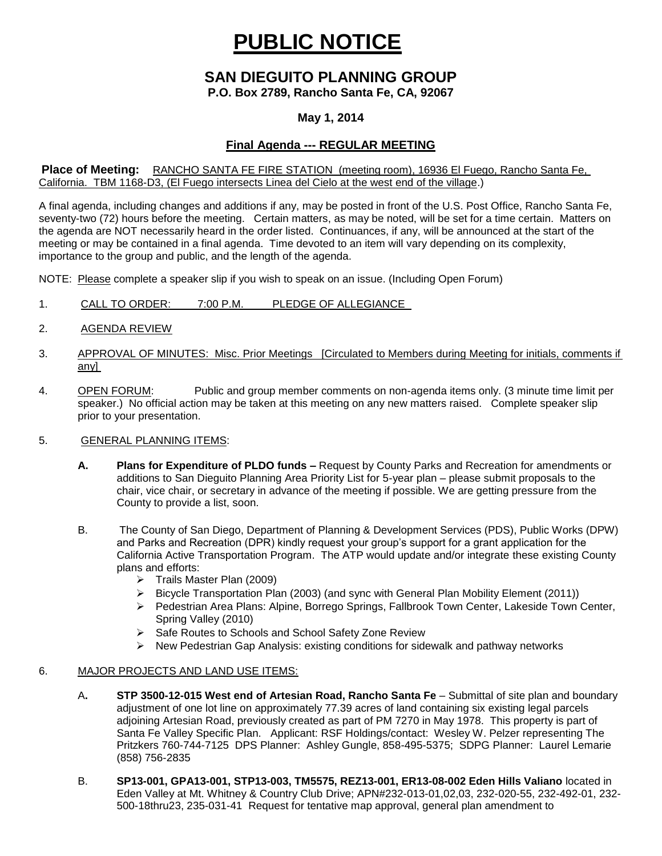# **PUBLIC NOTICE**

# **SAN DIEGUITO PLANNING GROUP**

**P.O. Box 2789, Rancho Santa Fe, CA, 92067**

### **May 1, 2014**

## **Final Agenda --- REGULAR MEETING**

#### **Place of Meeting:** RANCHO SANTA FE FIRE STATION (meeting room), 16936 El Fuego, Rancho Santa Fe, California. TBM 1168-D3, (El Fuego intersects Linea del Cielo at the west end of the village.)

A final agenda, including changes and additions if any, may be posted in front of the U.S. Post Office, Rancho Santa Fe, seventy-two (72) hours before the meeting. Certain matters, as may be noted, will be set for a time certain. Matters on the agenda are NOT necessarily heard in the order listed. Continuances, if any, will be announced at the start of the meeting or may be contained in a final agenda. Time devoted to an item will vary depending on its complexity, importance to the group and public, and the length of the agenda.

NOTE: Please complete a speaker slip if you wish to speak on an issue. (Including Open Forum)

- 1. CALL TO ORDER: 7:00 P.M. PLEDGE OF ALLEGIANCE
- 2. AGENDA REVIEW
- 3. APPROVAL OF MINUTES: Misc. Prior Meetings [Circulated to Members during Meeting for initials, comments if any]
- 4. OPEN FORUM: Public and group member comments on non-agenda items only. (3 minute time limit per speaker.) No official action may be taken at this meeting on any new matters raised. Complete speaker slip prior to your presentation.

#### 5. GENERAL PLANNING ITEMS:

- **A. Plans for Expenditure of PLDO funds –** Request by County Parks and Recreation for amendments or additions to San Dieguito Planning Area Priority List for 5-year plan – please submit proposals to the chair, vice chair, or secretary in advance of the meeting if possible. We are getting pressure from the County to provide a list, soon.
- B. The County of San Diego, Department of Planning & Development Services (PDS), Public Works (DPW) and Parks and Recreation (DPR) kindly request your group's support for a grant application for the California Active Transportation Program. The ATP would update and/or integrate these existing County plans and efforts:
	- $\triangleright$  Trails Master Plan (2009)
	- $\triangleright$  Bicycle Transportation Plan (2003) (and sync with General Plan Mobility Element (2011))
	- Pedestrian Area Plans: Alpine, Borrego Springs, Fallbrook Town Center, Lakeside Town Center, Spring Valley (2010)
	- ▶ Safe Routes to Schools and School Safety Zone Review
	- $\triangleright$  New Pedestrian Gap Analysis: existing conditions for sidewalk and pathway networks

#### 6. MAJOR PROJECTS AND LAND USE ITEMS:

- A**. STP 3500-12-015 West end of Artesian Road, Rancho Santa Fe** Submittal of site plan and boundary adjustment of one lot line on approximately 77.39 acres of land containing six existing legal parcels adjoining Artesian Road, previously created as part of PM 7270 in May 1978. This property is part of Santa Fe Valley Specific Plan.Applicant: RSF Holdings/contact: Wesley W. Pelzer representing The Pritzkers 760-744-7125 DPS Planner: Ashley Gungle, 858-495-5375; SDPG Planner: Laurel Lemarie (858) 756-2835
- B. **SP13-001, GPA13-001, STP13-003, TM5575, REZ13-001, ER13-08-002 Eden Hills Valiano** located in Eden Valley at Mt. Whitney & Country Club Drive; APN#232-013-01,02,03, 232-020-55, 232-492-01, 232- 500-18thru23, 235-031-41 Request for tentative map approval, general plan amendment to